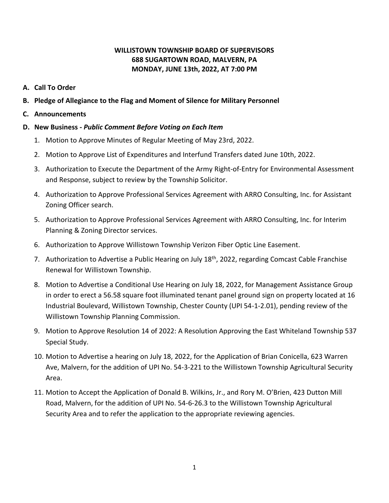## **WILLISTOWN TOWNSHIP BOARD OF SUPERVISORS 688 SUGARTOWN ROAD, MALVERN, PA MONDAY, JUNE 13th, 2022, AT 7:00 PM**

- **A. Call To Order**
- **B. Pledge of Allegiance to the Flag and Moment of Silence for Military Personnel**
- **C. Announcements**

## **D. New Business -** *Public Comment Before Voting on Each Item*

- 1. Motion to Approve Minutes of Regular Meeting of May 23rd, 2022.
- 2. Motion to Approve List of Expenditures and Interfund Transfers dated June 10th, 2022.
- 3. Authorization to Execute the Department of the Army Right-of-Entry for Environmental Assessment and Response, subject to review by the Township Solicitor.
- 4. Authorization to Approve Professional Services Agreement with ARRO Consulting, Inc. for Assistant Zoning Officer search.
- 5. Authorization to Approve Professional Services Agreement with ARRO Consulting, Inc. for Interim Planning & Zoning Director services.
- 6. Authorization to Approve Willistown Township Verizon Fiber Optic Line Easement.
- 7. Authorization to Advertise a Public Hearing on July 18<sup>th</sup>, 2022, regarding Comcast Cable Franchise Renewal for Willistown Township.
- 8. Motion to Advertise a Conditional Use Hearing on July 18, 2022, for Management Assistance Group in order to erect a 56.58 square foot illuminated tenant panel ground sign on property located at 16 Industrial Boulevard, Willistown Township, Chester County (UPI 54-1-2.01), pending review of the Willistown Township Planning Commission.
- 9. Motion to Approve Resolution 14 of 2022: A Resolution Approving the East Whiteland Township 537 Special Study.
- 10. Motion to Advertise a hearing on July 18, 2022, for the Application of Brian Conicella, 623 Warren Ave, Malvern, for the addition of UPI No. 54-3-221 to the Willistown Township Agricultural Security Area.
- 11. Motion to Accept the Application of Donald B. Wilkins, Jr., and Rory M. O'Brien, 423 Dutton Mill Road, Malvern, for the addition of UPI No. 54-6-26.3 to the Willistown Township Agricultural Security Area and to refer the application to the appropriate reviewing agencies.